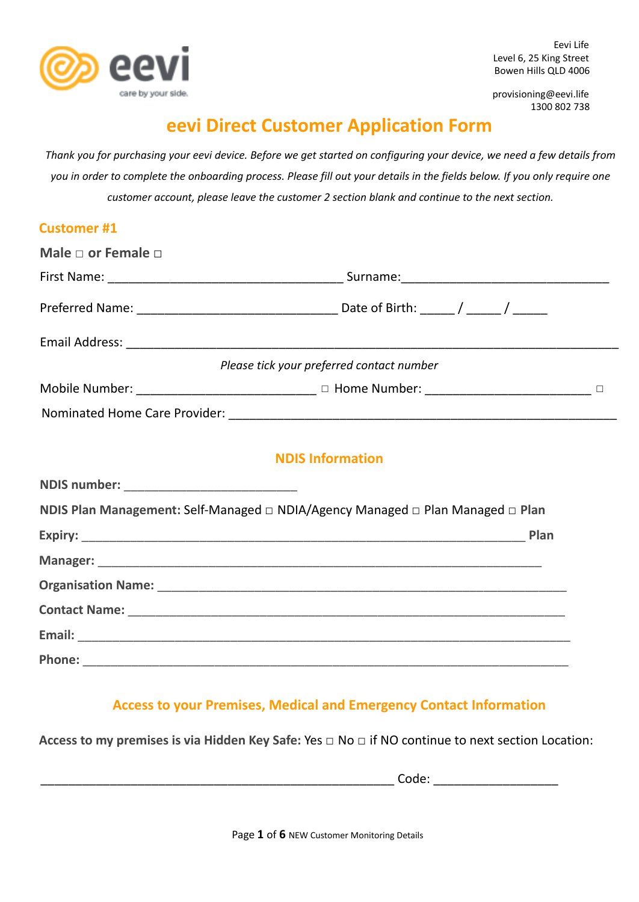

Phone: **with a set of**  $\mathbf{P}$ 

Eevi Life Level 6, 25 King Street Bowen Hills QLD 4006

provisioning@eevi.life 1300 802 738

# **eevi Direct Customer Application Form**

Thank you for purchasing your eevi device. Before we get started on configuring your device, we need a few details from you in order to complete the onboarding process. Please fill out your details in the fields below. If you only require one *customer account, please leave the customer 2 section blank and continue to the next section.*

| <b>Customer #1</b>                            |                                                                                      |  |
|-----------------------------------------------|--------------------------------------------------------------------------------------|--|
| Male $\Box$ or Female $\Box$                  |                                                                                      |  |
|                                               |                                                                                      |  |
|                                               |                                                                                      |  |
|                                               |                                                                                      |  |
|                                               | Please tick your preferred contact number                                            |  |
|                                               | Mobile Number: _____________________________ □ Home Number: ______________________ □ |  |
|                                               |                                                                                      |  |
|                                               | <b>NDIS Information</b>                                                              |  |
| NDIS number: ________________________________ |                                                                                      |  |
|                                               | NDIS Plan Management: Self-Managed □ NDIA/Agency Managed □ Plan Managed □ Plan       |  |
|                                               |                                                                                      |  |
|                                               |                                                                                      |  |
|                                               |                                                                                      |  |
|                                               |                                                                                      |  |
| Email:                                        |                                                                                      |  |

**Access to your Premises, Medical and Emergency Contact Information**

**Access to my premises is via Hidden Key Safe:** Yes □ No **□** if NO continue to next section Location:

 $Code:$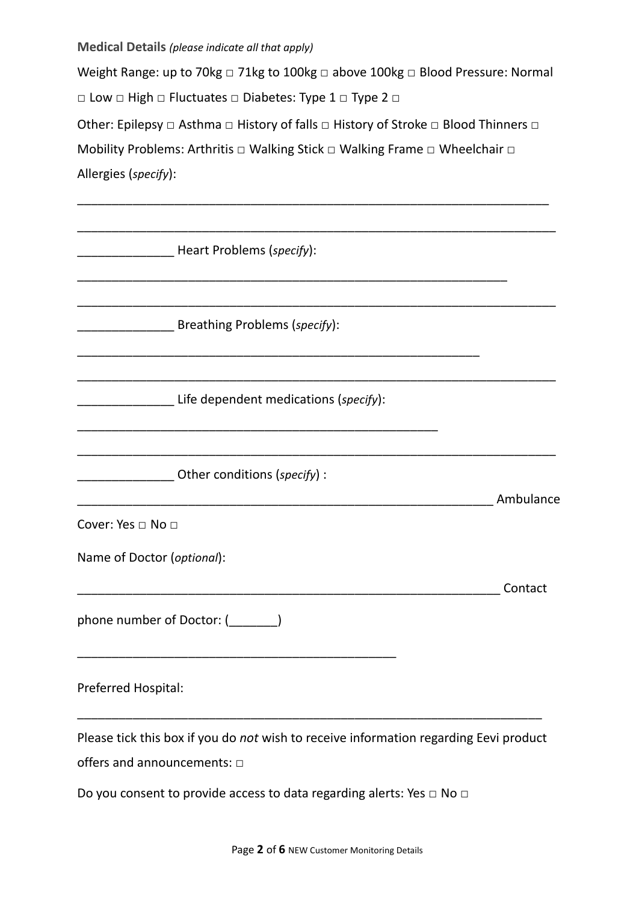**Medical Details** *(please indicate all that apply)*

Weight Range: up to 70kg □ 71kg to 100kg □ above 100kg □ Blood Pressure: Normal □ Low □ High □ Fluctuates □ Diabetes: Type 1 □ Type 2 □ Other: Epilepsy □ Asthma □ History of falls □ History of Stroke □ Blood Thinners □ Mobility Problems: Arthritis □ Walking Stick □ Walking Frame □ Wheelchair □ Allergies (*specify*):

\_\_\_\_\_\_\_\_\_\_\_\_\_\_\_\_\_\_\_\_\_\_\_\_\_\_\_\_\_\_\_\_\_\_\_\_\_\_\_\_\_\_\_\_\_\_\_\_\_\_\_\_\_\_\_\_\_\_\_\_\_\_\_\_\_\_\_\_

| Heart Problems (specify):                                                                                                 |           |
|---------------------------------------------------------------------------------------------------------------------------|-----------|
| Breathing Problems (specify):                                                                                             |           |
| Life dependent medications (specify):                                                                                     |           |
|                                                                                                                           |           |
| Other conditions (specify) :                                                                                              | Ambulance |
| Cover: Yes □ No □<br>Name of Doctor (optional):                                                                           |           |
| phone number of Doctor: (_______)                                                                                         | Contact   |
| Preferred Hospital:                                                                                                       |           |
| Please tick this box if you do not wish to receive information regarding Eevi product<br>offers and announcements: $\Box$ |           |
| Do you consent to provide access to data regarding alerts: Yes $\Box$ No $\Box$                                           |           |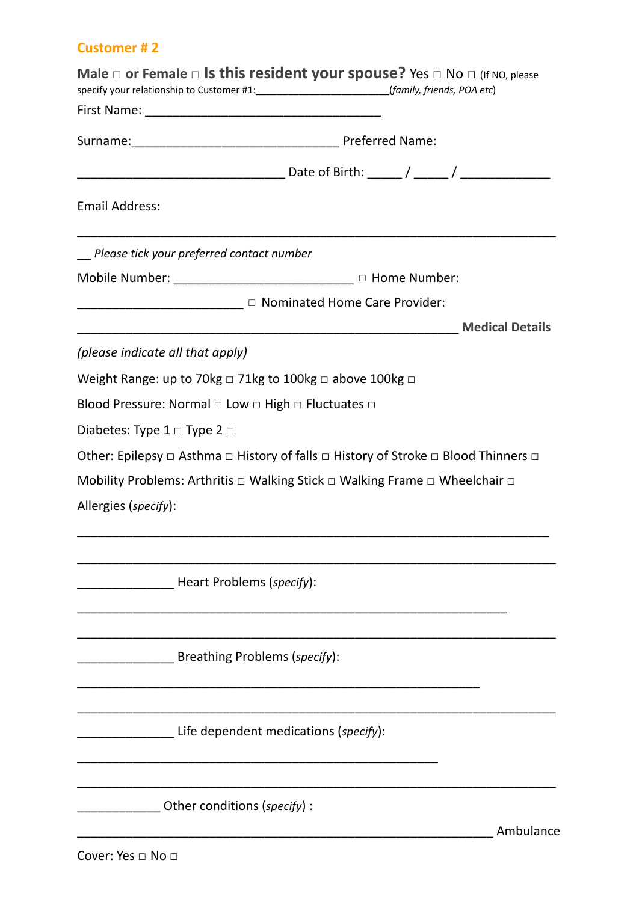# **Customer # 2**

|                                                                         | Male $\square$ or Female $\square$ Is this resident your spouse? Yes $\square$ No $\square$ (If NO, please<br>specify your relationship to Customer #1:_______________________________(family, friends, POA etc) |           |
|-------------------------------------------------------------------------|------------------------------------------------------------------------------------------------------------------------------------------------------------------------------------------------------------------|-----------|
|                                                                         |                                                                                                                                                                                                                  |           |
|                                                                         |                                                                                                                                                                                                                  |           |
|                                                                         |                                                                                                                                                                                                                  |           |
| <b>Email Address:</b>                                                   |                                                                                                                                                                                                                  |           |
| Please tick your preferred contact number                               |                                                                                                                                                                                                                  |           |
|                                                                         | Mobile Number: ___________________________ □ Home Number:                                                                                                                                                        |           |
|                                                                         | <u>______________________</u> □ Nominated Home Care Provider:                                                                                                                                                    |           |
|                                                                         |                                                                                                                                                                                                                  |           |
| (please indicate all that apply)                                        |                                                                                                                                                                                                                  |           |
| Weight Range: up to 70kg $\Box$ 71kg to 100kg $\Box$ above 100kg $\Box$ |                                                                                                                                                                                                                  |           |
| Blood Pressure: Normal □ Low □ High □ Fluctuates □                      |                                                                                                                                                                                                                  |           |
| Diabetes: Type $1 \square$ Type $2 \square$                             |                                                                                                                                                                                                                  |           |
|                                                                         | Other: Epilepsy $\Box$ Asthma $\Box$ History of falls $\Box$ History of Stroke $\Box$ Blood Thinners $\Box$                                                                                                      |           |
|                                                                         | Mobility Problems: Arthritis $\Box$ Walking Stick $\Box$ Walking Frame $\Box$ Wheelchair $\Box$                                                                                                                  |           |
| Allergies (specify):                                                    |                                                                                                                                                                                                                  |           |
|                                                                         |                                                                                                                                                                                                                  |           |
|                                                                         |                                                                                                                                                                                                                  |           |
| Heart Problems (specify):                                               |                                                                                                                                                                                                                  |           |
|                                                                         |                                                                                                                                                                                                                  |           |
|                                                                         |                                                                                                                                                                                                                  |           |
| Breathing Problems (specify):                                           |                                                                                                                                                                                                                  |           |
|                                                                         |                                                                                                                                                                                                                  |           |
|                                                                         |                                                                                                                                                                                                                  |           |
|                                                                         | Life dependent medications (specify):                                                                                                                                                                            |           |
|                                                                         |                                                                                                                                                                                                                  |           |
|                                                                         |                                                                                                                                                                                                                  |           |
| Other conditions (specify) :                                            |                                                                                                                                                                                                                  |           |
|                                                                         |                                                                                                                                                                                                                  | Ambulance |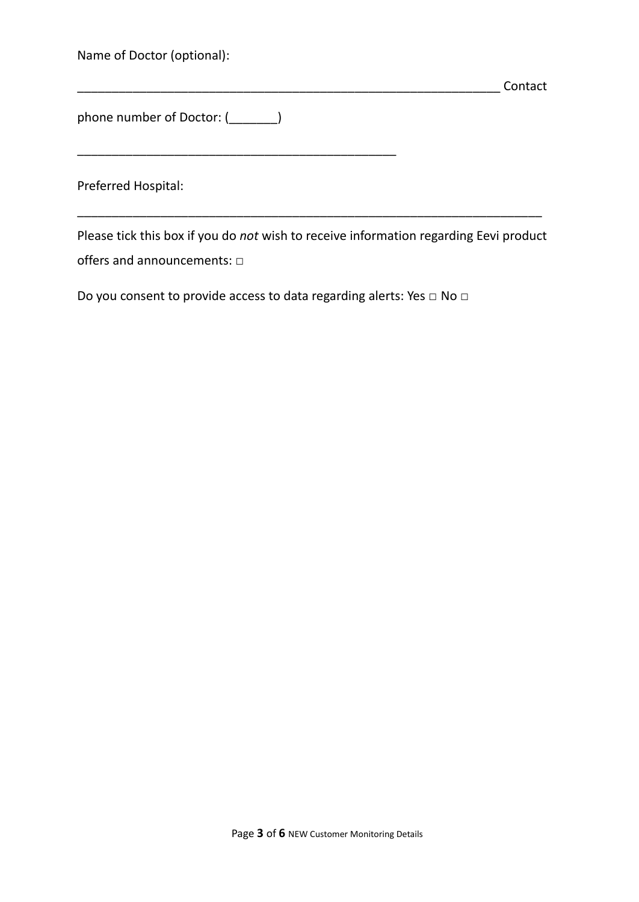Name of Doctor (optional):

phone number of Doctor: (\_\_\_\_\_\_\_)

\_\_\_\_\_\_\_\_\_\_\_\_\_\_\_\_\_\_\_\_\_\_\_\_\_\_\_\_\_\_\_\_\_\_\_\_\_\_\_\_\_\_\_\_\_\_

Preferred Hospital:

Please tick this box if you do *not* wish to receive information regarding Eevi product offers and announcements: **□**

\_\_\_\_\_\_\_\_\_\_\_\_\_\_\_\_\_\_\_\_\_\_\_\_\_\_\_\_\_\_\_\_\_\_\_\_\_\_\_\_\_\_\_\_\_\_\_\_\_\_\_\_\_\_\_\_\_\_\_\_\_\_\_\_\_\_\_

\_\_\_\_\_\_\_\_\_\_\_\_\_\_\_\_\_\_\_\_\_\_\_\_\_\_\_\_\_\_\_\_\_\_\_\_\_\_\_\_\_\_\_\_\_\_\_\_\_\_\_\_\_\_\_\_\_\_\_\_\_ Contact

Do you consent to provide access to data regarding alerts: Yes **□** No **□**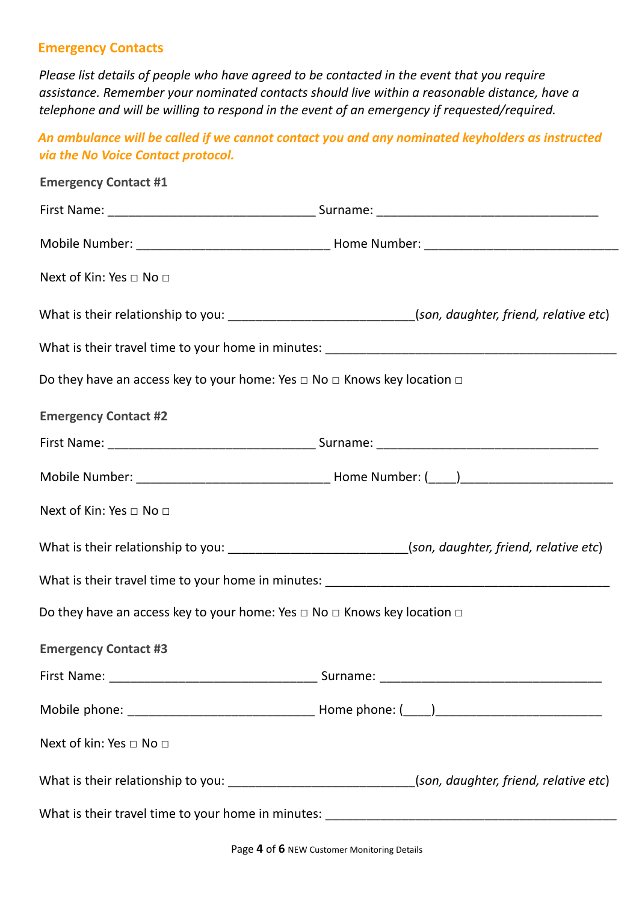# **Emergency Contacts**

*Please list details of people who have agreed to be contacted in the event that you require assistance. Remember your nominated contacts should live within a reasonable distance, have a telephone and will be willing to respond in the event of an emergency if requested/required.*

*An ambulance will be called if we cannot contact you and any nominated keyholders as instructed via the No Voice Contact protocol.*

| <b>Emergency Contact #1</b>                                                             |                                                                                                         |  |  |
|-----------------------------------------------------------------------------------------|---------------------------------------------------------------------------------------------------------|--|--|
|                                                                                         |                                                                                                         |  |  |
|                                                                                         |                                                                                                         |  |  |
| Next of Kin: Yes □ No □                                                                 |                                                                                                         |  |  |
|                                                                                         | What is their relationship to you: _______________________________(son, daughter, friend, relative etc) |  |  |
|                                                                                         |                                                                                                         |  |  |
| Do they have an access key to your home: Yes $\Box$ No $\Box$ Knows key location $\Box$ |                                                                                                         |  |  |
| <b>Emergency Contact #2</b>                                                             |                                                                                                         |  |  |
|                                                                                         |                                                                                                         |  |  |
|                                                                                         |                                                                                                         |  |  |
| Next of Kin: Yes □ No □                                                                 |                                                                                                         |  |  |
|                                                                                         | What is their relationship to you: ______________________________(son, daughter, friend, relative etc)  |  |  |
|                                                                                         |                                                                                                         |  |  |
| Do they have an access key to your home: Yes $\Box$ No $\Box$ Knows key location $\Box$ |                                                                                                         |  |  |
| <b>Emergency Contact #3</b>                                                             |                                                                                                         |  |  |
|                                                                                         |                                                                                                         |  |  |
|                                                                                         |                                                                                                         |  |  |
| Next of kin: Yes □ No □                                                                 |                                                                                                         |  |  |
|                                                                                         | What is their relationship to you: _______________________________(son, daughter, friend, relative etc) |  |  |
|                                                                                         |                                                                                                         |  |  |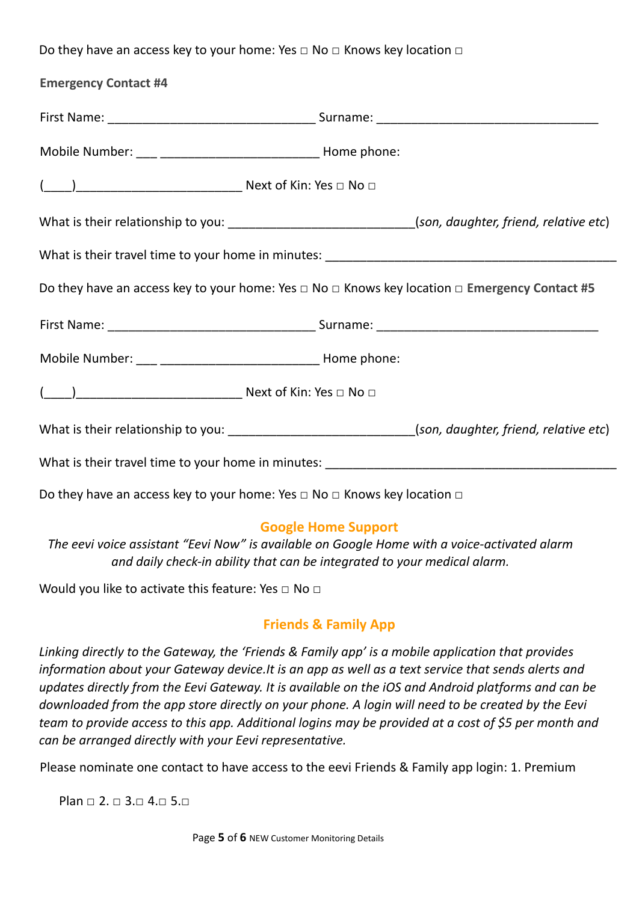Do they have an access key to your home: Yes **□** No **□** Knows key location **□**

| <b>Emergency Contact #4</b>                                                                                  |                                                                                                          |
|--------------------------------------------------------------------------------------------------------------|----------------------------------------------------------------------------------------------------------|
|                                                                                                              |                                                                                                          |
|                                                                                                              |                                                                                                          |
|                                                                                                              |                                                                                                          |
|                                                                                                              | What is their relationship to you: ________________________________(son, daughter, friend, relative etc) |
|                                                                                                              |                                                                                                          |
| Do they have an access key to your home: Yes $\Box$ No $\Box$ Knows key location $\Box$ Emergency Contact #5 |                                                                                                          |
|                                                                                                              |                                                                                                          |
|                                                                                                              |                                                                                                          |
|                                                                                                              |                                                                                                          |
|                                                                                                              | What is their relationship to you: ______________________________(son, daughter, friend, relative etc)   |
|                                                                                                              |                                                                                                          |
| Do they have an access key to your home: Yes $\Box$ No $\Box$ Knows key location $\Box$                      |                                                                                                          |

# **Google Home Support**

*The eevi voice assistant "Eevi Now" is available on Google Home with a voice-activated alarm and daily check-in ability that can be integrated to your medical alarm.*

Would you like to activate this feature: Yes **□** No **□**

# **Friends & Family App**

*Linking directly to the Gateway, the 'Friends & Family app' is a mobile application that provides information about your Gateway device.It is an app as well as a text service that sends alerts and* updates directly from the Eevi Gateway. It is available on the iOS and Android platforms and can be downloaded from the app store directly on your phone. A login will need to be created by the Eevi team to provide access to this app. Additional logins may be provided at a cost of \$5 per month and *can be arranged directly with your Eevi representative.*

Please nominate one contact to have access to the eevi Friends & Family app login: 1. Premium

Plan  $\Box$  2.  $\Box$  3. $\Box$  4. $\Box$  5. $\Box$